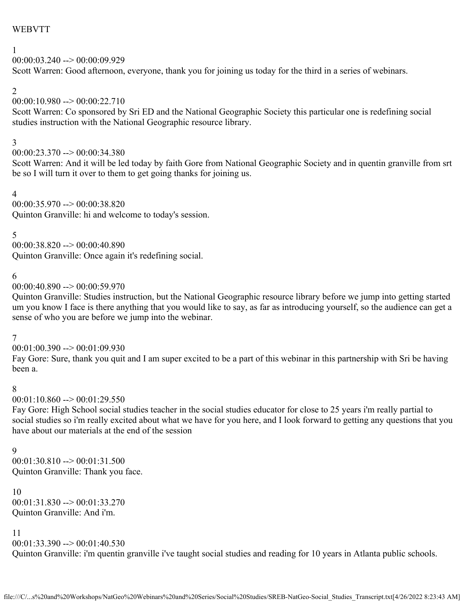## WEBVTT

### 1

00:00:03.240 --> 00:00:09.929 Scott Warren: Good afternoon, everyone, thank you for joining us today for the third in a series of webinars.

### 2

## $00:00:10.980 \rightarrow 00:00:22.710$

Scott Warren: Co sponsored by Sri ED and the National Geographic Society this particular one is redefining social studies instruction with the National Geographic resource library.

#### 3

 $00:00:23.370 \rightarrow 00:00:34.380$ 

Scott Warren: And it will be led today by faith Gore from National Geographic Society and in quentin granville from srt be so I will turn it over to them to get going thanks for joining us.

#### 4

00:00:35.970 --> 00:00:38.820

Quinton Granville: hi and welcome to today's session.

5

 $00:00:38.820 \rightarrow 00:00:40.890$ Quinton Granville: Once again it's redefining social.

### 6

 $00:00:40.890 \rightarrow 00:00:59.970$ 

Quinton Granville: Studies instruction, but the National Geographic resource library before we jump into getting started um you know I face is there anything that you would like to say, as far as introducing yourself, so the audience can get a sense of who you are before we jump into the webinar.

## 7

 $00:01:00.390 \rightarrow 00:01:09.930$ 

Fay Gore: Sure, thank you quit and I am super excited to be a part of this webinar in this partnership with Sri be having been a.

### 8

 $00:01:10.860 \rightarrow 00:01:29.550$ 

Fay Gore: High School social studies teacher in the social studies educator for close to 25 years i'm really partial to social studies so i'm really excited about what we have for you here, and I look forward to getting any questions that you have about our materials at the end of the session

### 9

00:01:30.810 --> 00:01:31.500 Quinton Granville: Thank you face.

10  $00:01:31.830 \rightarrow 00:01:33.270$ Quinton Granville: And i'm.

11

 $00:01:33.390 \rightarrow 00:01:40.530$ Quinton Granville: i'm quentin granville i've taught social studies and reading for 10 years in Atlanta public schools.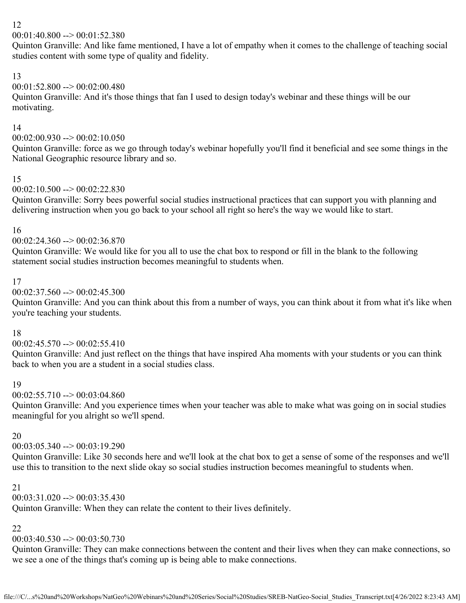$00:01:40.800 \rightarrow 00:01:52.380$ 

Quinton Granville: And like fame mentioned, I have a lot of empathy when it comes to the challenge of teaching social studies content with some type of quality and fidelity.

# 13

# 00:01:52.800 --> 00:02:00.480

Quinton Granville: And it's those things that fan I used to design today's webinar and these things will be our motivating.

### 14

## $00:02:00.930 \rightarrow 00:02:10.050$

Quinton Granville: force as we go through today's webinar hopefully you'll find it beneficial and see some things in the National Geographic resource library and so.

## 15

## $00:02:10.500 \rightarrow 00:02:22.830$

Quinton Granville: Sorry bees powerful social studies instructional practices that can support you with planning and delivering instruction when you go back to your school all right so here's the way we would like to start.

### 16

### $00:02:24.360 \rightarrow 00:02:36.870$

Quinton Granville: We would like for you all to use the chat box to respond or fill in the blank to the following statement social studies instruction becomes meaningful to students when.

### 17

### $00:02:37.560 \rightarrow 00:02:45.300$

Quinton Granville: And you can think about this from a number of ways, you can think about it from what it's like when you're teaching your students.

## 18

## $00:02:45.570 \rightarrow 00:02:55.410$

Quinton Granville: And just reflect on the things that have inspired Aha moments with your students or you can think back to when you are a student in a social studies class.

## 19

## $00:02:55.710 \rightarrow 00:03:04.860$

Quinton Granville: And you experience times when your teacher was able to make what was going on in social studies meaningful for you alright so we'll spend.

## 20

# $00:03:05.340 \rightarrow 00:03:19.290$

Quinton Granville: Like 30 seconds here and we'll look at the chat box to get a sense of some of the responses and we'll use this to transition to the next slide okay so social studies instruction becomes meaningful to students when.

## 21

# $00:03:31.020 \rightarrow 00:03:35.430$

Quinton Granville: When they can relate the content to their lives definitely.

## 22

## $00:03:40.530 \rightarrow 00:03:50.730$

Quinton Granville: They can make connections between the content and their lives when they can make connections, so we see a one of the things that's coming up is being able to make connections.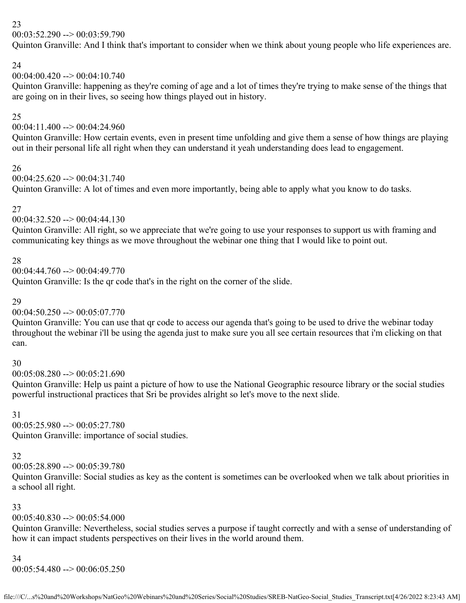$00:03:52.290 \rightarrow 00:03:59.790$ 

Quinton Granville: And I think that's important to consider when we think about young people who life experiences are.

### 24

# 00:04:00.420 --> 00:04:10.740

Quinton Granville: happening as they're coming of age and a lot of times they're trying to make sense of the things that are going on in their lives, so seeing how things played out in history.

## 25

# $00:04:11.400 \rightarrow 00:04:24.960$

Quinton Granville: How certain events, even in present time unfolding and give them a sense of how things are playing out in their personal life all right when they can understand it yeah understanding does lead to engagement.

## 26

 $00:04:25.620 \rightarrow 00:04:31.740$ 

Quinton Granville: A lot of times and even more importantly, being able to apply what you know to do tasks.

### 27

## 00:04:32.520 --> 00:04:44.130

Quinton Granville: All right, so we appreciate that we're going to use your responses to support us with framing and communicating key things as we move throughout the webinar one thing that I would like to point out.

## 28

 $00:04:44.760 \rightarrow 00:04:49.770$ 

Quinton Granville: Is the qr code that's in the right on the corner of the slide.

### 29

## $00:04:50.250 \rightarrow 00:05:07.770$

Quinton Granville: You can use that qr code to access our agenda that's going to be used to drive the webinar today throughout the webinar i'll be using the agenda just to make sure you all see certain resources that i'm clicking on that can.

## 30

 $00:05:08.280 \rightarrow 00:05:21.690$ 

Quinton Granville: Help us paint a picture of how to use the National Geographic resource library or the social studies powerful instructional practices that Sri be provides alright so let's move to the next slide.

## 31

00:05:25.980 --> 00:05:27.780 Quinton Granville: importance of social studies.

# 32

 $00:05:28.890 \rightarrow 00:05:39.780$ 

Quinton Granville: Social studies as key as the content is sometimes can be overlooked when we talk about priorities in a school all right.

## 33

# $00:05:40.830 \rightarrow 00:05:54.000$

Quinton Granville: Nevertheless, social studies serves a purpose if taught correctly and with a sense of understanding of how it can impact students perspectives on their lives in the world around them.

## 34

00:05:54.480 --> 00:06:05.250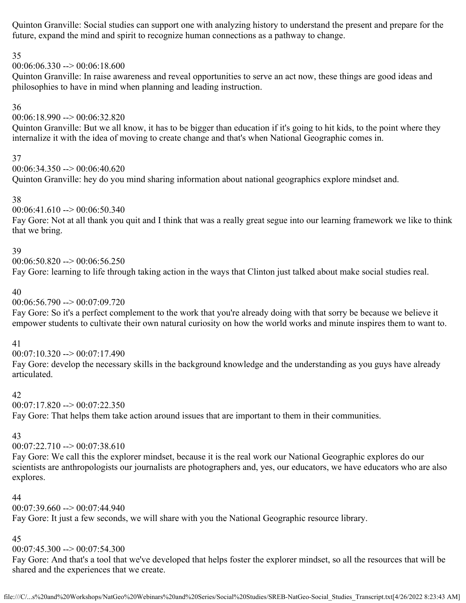Quinton Granville: Social studies can support one with analyzing history to understand the present and prepare for the future, expand the mind and spirit to recognize human connections as a pathway to change.

## 35

 $00:06:06.330 \rightarrow 00:06:18.600$ 

Quinton Granville: In raise awareness and reveal opportunities to serve an act now, these things are good ideas and philosophies to have in mind when planning and leading instruction.

## 36

00:06:18.990 --> 00:06:32.820

Quinton Granville: But we all know, it has to be bigger than education if it's going to hit kids, to the point where they internalize it with the idea of moving to create change and that's when National Geographic comes in.

## 37

 $00:06:34.350 \rightarrow 00:06:40.620$ 

Quinton Granville: hey do you mind sharing information about national geographics explore mindset and.

# 38

00:06:41.610 --> 00:06:50.340

Fay Gore: Not at all thank you quit and I think that was a really great segue into our learning framework we like to think that we bring.

## 39

 $00:06:50.820 \rightarrow 00:06:56.250$ Fay Gore: learning to life through taking action in the ways that Clinton just talked about make social studies real.

## 40

00:06:56.790 --> 00:07:09.720

Fay Gore: So it's a perfect complement to the work that you're already doing with that sorry be because we believe it empower students to cultivate their own natural curiosity on how the world works and minute inspires them to want to.

## 41

 $00:07:10.320 \rightarrow 00:07:17.490$ 

Fay Gore: develop the necessary skills in the background knowledge and the understanding as you guys have already articulated.

## 42

 $00:07:17.820 \rightarrow 00:07:22.350$ Fay Gore: That helps them take action around issues that are important to them in their communities.

# 43

00:07:22.710 --> 00:07:38.610

Fay Gore: We call this the explorer mindset, because it is the real work our National Geographic explores do our scientists are anthropologists our journalists are photographers and, yes, our educators, we have educators who are also explores.

# 44

 $00:07:39.660 \rightarrow 00:07:44.940$ 

Fay Gore: It just a few seconds, we will share with you the National Geographic resource library.

# 45

00:07:45.300 --> 00:07:54.300

Fay Gore: And that's a tool that we've developed that helps foster the explorer mindset, so all the resources that will be shared and the experiences that we create.

file:///C/...s%20and%20Workshops/NatGeo%20Webinars%20and%20Series/Social%20Studies/SREB-NatGeo-Social\_Studies\_Transcript.txt[4/26/2022 8:23:43 AM]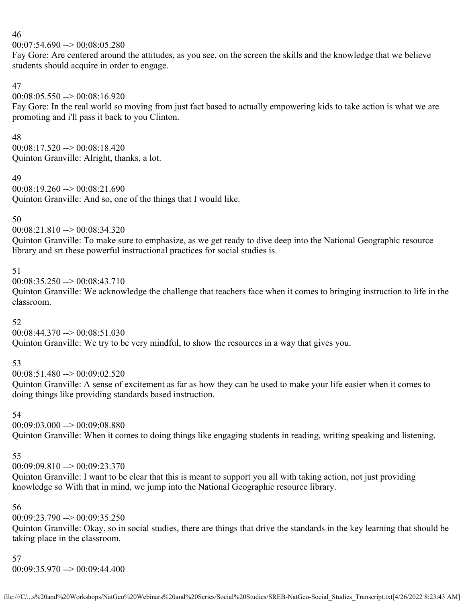#### 00:07:54.690 --> 00:08:05.280

Fay Gore: Are centered around the attitudes, as you see, on the screen the skills and the knowledge that we believe students should acquire in order to engage.

### 47

 $00:08:05.550 \rightarrow 00:08:16.920$ 

Fay Gore: In the real world so moving from just fact based to actually empowering kids to take action is what we are promoting and i'll pass it back to you Clinton.

### 48

 $00:08:17.520 \rightarrow 00:08:18.420$ Quinton Granville: Alright, thanks, a lot.

### 49

00:08:19.260 --> 00:08:21.690 Quinton Granville: And so, one of the things that I would like.

## 50

00:08:21.810 --> 00:08:34.320

Quinton Granville: To make sure to emphasize, as we get ready to dive deep into the National Geographic resource library and srt these powerful instructional practices for social studies is.

## 51

 $00:08:35.250 \rightarrow 00:08:43.710$ 

Quinton Granville: We acknowledge the challenge that teachers face when it comes to bringing instruction to life in the classroom.

## 52

00:08:44.370 --> 00:08:51.030 Quinton Granville: We try to be very mindful, to show the resources in a way that gives you.

## 53

 $00:08:51.480 \rightarrow 00:09:02.520$ 

Quinton Granville: A sense of excitement as far as how they can be used to make your life easier when it comes to doing things like providing standards based instruction.

### 54

 $00:09:03.000 \rightarrow 00:09:08.880$ Quinton Granville: When it comes to doing things like engaging students in reading, writing speaking and listening.

## 55

 $00:09:09.810 \rightarrow 00:09:23.370$ 

Quinton Granville: I want to be clear that this is meant to support you all with taking action, not just providing knowledge so With that in mind, we jump into the National Geographic resource library.

## 56

 $00:09:23.790 \rightarrow 00:09:35.250$ 

Quinton Granville: Okay, so in social studies, there are things that drive the standards in the key learning that should be taking place in the classroom.

### 57

00:09:35.970 --> 00:09:44.400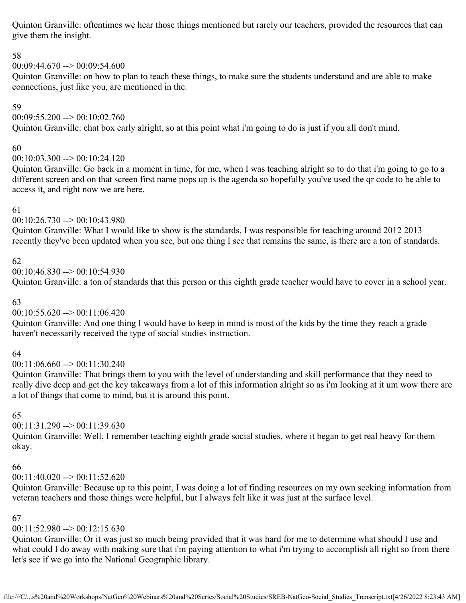Quinton Granville: oftentimes we hear those things mentioned but rarely our teachers, provided the resources that can give them the insight.

## 58

 $00:09:44.670 \rightarrow 00:09:54.600$ 

Quinton Granville: on how to plan to teach these things, to make sure the students understand and are able to make connections, just like you, are mentioned in the.

## 59

 $00:09:55.200 \rightarrow 00:10:02.760$ 

Quinton Granville: chat box early alright, so at this point what i'm going to do is just if you all don't mind.

## 60

 $00:10:03.300 \rightarrow 00:10:24.120$ 

Quinton Granville: Go back in a moment in time, for me, when I was teaching alright so to do that i'm going to go to a different screen and on that screen first name pops up is the agenda so hopefully you've used the qr code to be able to access it, and right now we are here.

### 61

## 00:10:26.730 --> 00:10:43.980

Quinton Granville: What I would like to show is the standards, I was responsible for teaching around 2012 2013 recently they've been updated when you see, but one thing I see that remains the same, is there are a ton of standards.

## 62

 $00:10:46.830 \rightarrow 00:10:54.930$ 

Quinton Granville: a ton of standards that this person or this eighth grade teacher would have to cover in a school year.

## 63

## $00:10:55.620 \rightarrow 00:11:06.420$

Quinton Granville: And one thing I would have to keep in mind is most of the kids by the time they reach a grade haven't necessarily received the type of social studies instruction.

## 64

00:11:06.660 --> 00:11:30.240

Quinton Granville: That brings them to you with the level of understanding and skill performance that they need to really dive deep and get the key takeaways from a lot of this information alright so as i'm looking at it um wow there are a lot of things that come to mind, but it is around this point.

## 65

 $00:11:31.290 \rightarrow 00:11:39.630$ 

Quinton Granville: Well, I remember teaching eighth grade social studies, where it began to get real heavy for them okay.

## 66

## 00:11:40.020 --> 00:11:52.620

Quinton Granville: Because up to this point, I was doing a lot of finding resources on my own seeking information from veteran teachers and those things were helpful, but I always felt like it was just at the surface level.

## 67

## $00:11:52.980 \rightarrow 00:12:15.630$

Quinton Granville: Or it was just so much being provided that it was hard for me to determine what should I use and what could I do away with making sure that i'm paying attention to what i'm trying to accomplish all right so from there let's see if we go into the National Geographic library.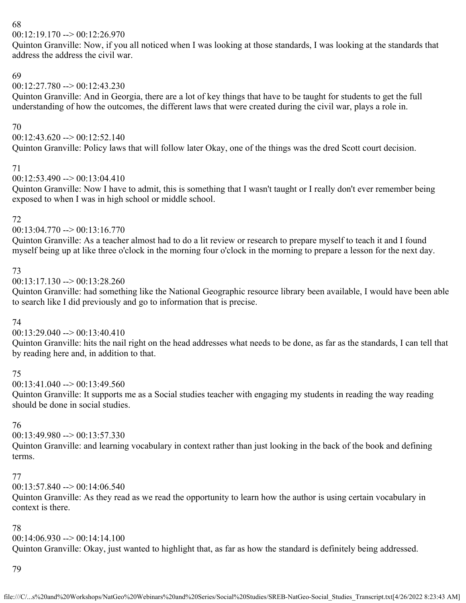#### $00:12:19.170 \rightarrow 00:12:26.970$

Quinton Granville: Now, if you all noticed when I was looking at those standards, I was looking at the standards that address the address the civil war.

## 69

### $00:12:27.780 \rightarrow 00:12:43.230$

Quinton Granville: And in Georgia, there are a lot of key things that have to be taught for students to get the full understanding of how the outcomes, the different laws that were created during the civil war, plays a role in.

### 70

 $00:12:43.620 \rightarrow 00:12:52.140$ 

Quinton Granville: Policy laws that will follow later Okay, one of the things was the dred Scott court decision.

### 71

### 00:12:53.490 --> 00:13:04.410

Quinton Granville: Now I have to admit, this is something that I wasn't taught or I really don't ever remember being exposed to when I was in high school or middle school.

### 72

### $00:13:04.770 \rightarrow 00:13:16.770$

Quinton Granville: As a teacher almost had to do a lit review or research to prepare myself to teach it and I found myself being up at like three o'clock in the morning four o'clock in the morning to prepare a lesson for the next day.

## 73

00:13:17.130 --> 00:13:28.260

Quinton Granville: had something like the National Geographic resource library been available, I would have been able to search like I did previously and go to information that is precise.

## 74

## 00:13:29.040 --> 00:13:40.410

Quinton Granville: hits the nail right on the head addresses what needs to be done, as far as the standards, I can tell that by reading here and, in addition to that.

## 75

 $00:13:41.040 \rightarrow 00:13:49.560$ 

Quinton Granville: It supports me as a Social studies teacher with engaging my students in reading the way reading should be done in social studies.

## 76

## 00:13:49.980 --> 00:13:57.330

Quinton Granville: and learning vocabulary in context rather than just looking in the back of the book and defining terms.

### 77

 $00:13:57.840 \rightarrow 00:14:06.540$ 

Quinton Granville: As they read as we read the opportunity to learn how the author is using certain vocabulary in context is there.

## 78

## $00:14:06.930 \rightarrow 00:14:14.100$

Quinton Granville: Okay, just wanted to highlight that, as far as how the standard is definitely being addressed.

### 79

file:///C/...s%20and%20Workshops/NatGeo%20Webinars%20and%20Series/Social%20Studies/SREB-NatGeo-Social\_Studies\_Transcript.txt[4/26/2022 8:23:43 AM]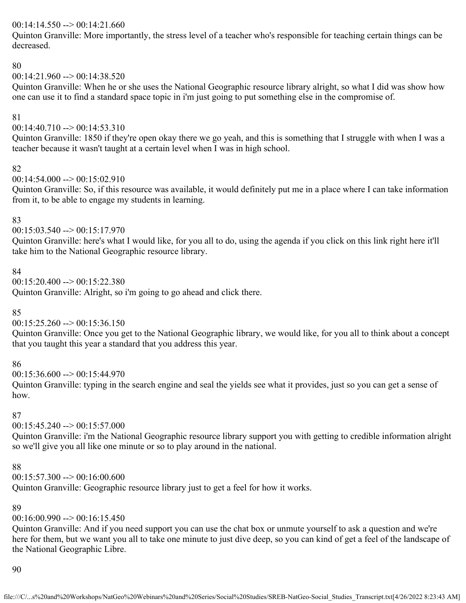### $00:14:14.550 \rightarrow 00:14:21.660$

Quinton Granville: More importantly, the stress level of a teacher who's responsible for teaching certain things can be decreased.

### 80

### $00:14:21.960 \rightarrow 00:14:38.520$

Quinton Granville: When he or she uses the National Geographic resource library alright, so what I did was show how one can use it to find a standard space topic in i'm just going to put something else in the compromise of.

### 81

### 00:14:40.710 --> 00:14:53.310

Quinton Granville: 1850 if they're open okay there we go yeah, and this is something that I struggle with when I was a teacher because it wasn't taught at a certain level when I was in high school.

#### 82

00:14:54.000 --> 00:15:02.910

Quinton Granville: So, if this resource was available, it would definitely put me in a place where I can take information from it, to be able to engage my students in learning.

### 83

00:15:03.540 --> 00:15:17.970

Quinton Granville: here's what I would like, for you all to do, using the agenda if you click on this link right here it'll take him to the National Geographic resource library.

### 84

 $00:15:20.400 \rightarrow 00:15:22.380$ 

Quinton Granville: Alright, so i'm going to go ahead and click there.

### 85

 $00:15:25.260 \rightarrow 00:15:36.150$ 

Quinton Granville: Once you get to the National Geographic library, we would like, for you all to think about a concept that you taught this year a standard that you address this year.

### 86

 $00:15:36.600 \rightarrow 00:15:44.970$ 

Quinton Granville: typing in the search engine and seal the yields see what it provides, just so you can get a sense of how.

### 87

 $00:15:45.240 \rightarrow 00:15:57.000$ 

Quinton Granville: i'm the National Geographic resource library support you with getting to credible information alright so we'll give you all like one minute or so to play around in the national.

### 88

00:15:57.300 --> 00:16:00.600

Quinton Granville: Geographic resource library just to get a feel for how it works.

### 89

 $00:16:00.990 \rightarrow 00:16:15.450$ 

Quinton Granville: And if you need support you can use the chat box or unmute yourself to ask a question and we're here for them, but we want you all to take one minute to just dive deep, so you can kind of get a feel of the landscape of the National Geographic Libre.

### 90

file:///C/...s%20and%20Workshops/NatGeo%20Webinars%20and%20Series/Social%20Studies/SREB-NatGeo-Social\_Studies\_Transcript.txt[4/26/2022 8:23:43 AM]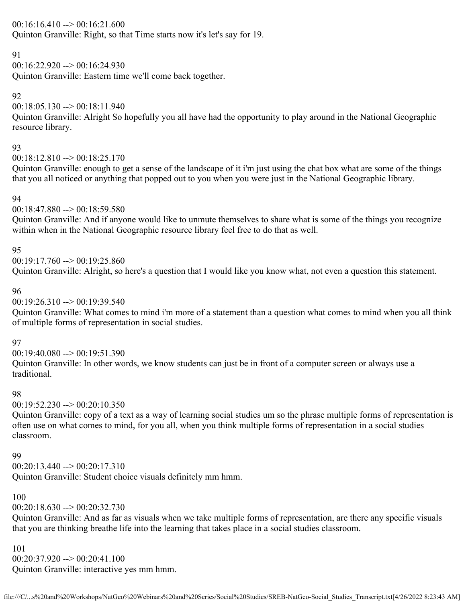### $00:16:16.410 \rightarrow 00:16:21.600$

Quinton Granville: Right, so that Time starts now it's let's say for 19.

### 91

 $00:16:22.920 \rightarrow 00:16:24.930$ 

Quinton Granville: Eastern time we'll come back together.

## 92

 $00:18:05.130 \rightarrow 00:18:11.940$ 

Quinton Granville: Alright So hopefully you all have had the opportunity to play around in the National Geographic resource library.

### 93

00:18:12.810 --> 00:18:25.170

Quinton Granville: enough to get a sense of the landscape of it i'm just using the chat box what are some of the things that you all noticed or anything that popped out to you when you were just in the National Geographic library.

### 94

00:18:47.880 --> 00:18:59.580

Quinton Granville: And if anyone would like to unmute themselves to share what is some of the things you recognize within when in the National Geographic resource library feel free to do that as well.

### 95

 $00:19:17.760 \rightarrow 00:19:25.860$ Quinton Granville: Alright, so here's a question that I would like you know what, not even a question this statement.

### 96

00:19:26.310 --> 00:19:39.540

Quinton Granville: What comes to mind i'm more of a statement than a question what comes to mind when you all think of multiple forms of representation in social studies.

## 97

 $00:19:40.080 \rightarrow 00:19:51.390$ 

Quinton Granville: In other words, we know students can just be in front of a computer screen or always use a traditional.

## 98

 $00:19:52.230 \rightarrow 00:20:10.350$ 

Quinton Granville: copy of a text as a way of learning social studies um so the phrase multiple forms of representation is often use on what comes to mind, for you all, when you think multiple forms of representation in a social studies classroom.

### 99

 $00:20:13.440 \rightarrow 00:20:17.310$ 

Quinton Granville: Student choice visuals definitely mm hmm.

## 100

 $00:20:18.630 \rightarrow 00:20:32.730$ 

Quinton Granville: And as far as visuals when we take multiple forms of representation, are there any specific visuals that you are thinking breathe life into the learning that takes place in a social studies classroom.

101 00:20:37.920 --> 00:20:41.100 Quinton Granville: interactive yes mm hmm.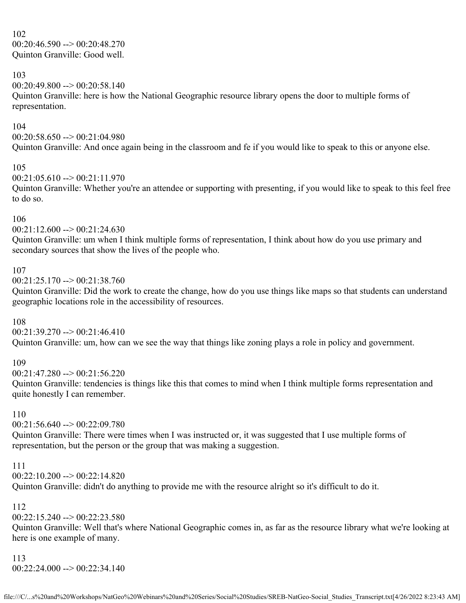102 00:20:46.590 --> 00:20:48.270 Quinton Granville: Good well.

#### 103

 $00:20:49.800 \rightarrow 00:20:58.140$ 

Quinton Granville: here is how the National Geographic resource library opens the door to multiple forms of representation.

#### 104

 $00:20:58.650 \rightarrow 00:21:04.980$ Quinton Granville: And once again being in the classroom and fe if you would like to speak to this or anyone else.

#### 105

 $00:21:05.610 \rightarrow 00:21:11.970$ 

Quinton Granville: Whether you're an attendee or supporting with presenting, if you would like to speak to this feel free to do so.

#### 106

00:21:12.600 --> 00:21:24.630

Quinton Granville: um when I think multiple forms of representation, I think about how do you use primary and secondary sources that show the lives of the people who.

#### 107

00:21:25.170 --> 00:21:38.760

Quinton Granville: Did the work to create the change, how do you use things like maps so that students can understand geographic locations role in the accessibility of resources.

#### 108

00:21:39.270 --> 00:21:46.410 Quinton Granville: um, how can we see the way that things like zoning plays a role in policy and government.

#### 109

00:21:47.280 --> 00:21:56.220

Quinton Granville: tendencies is things like this that comes to mind when I think multiple forms representation and quite honestly I can remember.

## 110

 $00:21:56.640 \rightarrow 00:22:09.780$ 

Quinton Granville: There were times when I was instructed or, it was suggested that I use multiple forms of representation, but the person or the group that was making a suggestion.

#### 111

00:22:10.200 --> 00:22:14.820

Quinton Granville: didn't do anything to provide me with the resource alright so it's difficult to do it.

### 112

 $00:22:15.240 \rightarrow 00:22:23.580$ 

Quinton Granville: Well that's where National Geographic comes in, as far as the resource library what we're looking at here is one example of many.

#### 113

00:22:24.000 --> 00:22:34.140

file:///C/...s%20and%20Workshops/NatGeo%20Webinars%20and%20Series/Social%20Studies/SREB-NatGeo-Social\_Studies\_Transcript.txt[4/26/2022 8:23:43 AM]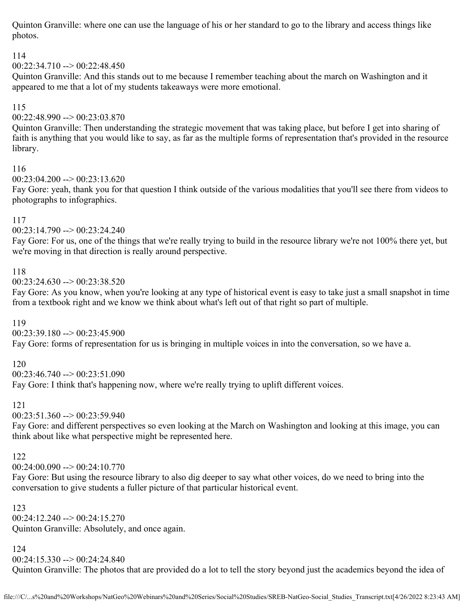Quinton Granville: where one can use the language of his or her standard to go to the library and access things like photos.

## 114

 $00:22:34.710 \rightarrow 00:22:48.450$ 

Quinton Granville: And this stands out to me because I remember teaching about the march on Washington and it appeared to me that a lot of my students takeaways were more emotional.

## 115

00:22:48.990 --> 00:23:03.870

Quinton Granville: Then understanding the strategic movement that was taking place, but before I get into sharing of faith is anything that you would like to say, as far as the multiple forms of representation that's provided in the resource library.

### 116

00:23:04.200 --> 00:23:13.620

Fay Gore: yeah, thank you for that question I think outside of the various modalities that you'll see there from videos to photographs to infographics.

### 117

00:23:14.790 --> 00:23:24.240

Fay Gore: For us, one of the things that we're really trying to build in the resource library we're not 100% there yet, but we're moving in that direction is really around perspective.

### 118

 $00:23:24.630 \rightarrow 00:23:38.520$ 

Fay Gore: As you know, when you're looking at any type of historical event is easy to take just a small snapshot in time from a textbook right and we know we think about what's left out of that right so part of multiple.

## 119

00:23:39.180 --> 00:23:45.900 Fay Gore: forms of representation for us is bringing in multiple voices in into the conversation, so we have a.

### 120

 $00:23:46.740 \rightarrow 00:23:51.090$ Fay Gore: I think that's happening now, where we're really trying to uplift different voices.

# 121

 $00:23:51.360 \rightarrow 00:23:59.940$ 

Fay Gore: and different perspectives so even looking at the March on Washington and looking at this image, you can think about like what perspective might be represented here.

### 122

00:24:00.090 --> 00:24:10.770

Fay Gore: But using the resource library to also dig deeper to say what other voices, do we need to bring into the conversation to give students a fuller picture of that particular historical event.

### 123

 $00:24:12.240 \rightarrow 00:24:15.270$ Quinton Granville: Absolutely, and once again.

### 124

 $00:24:15.330 \rightarrow 00:24:24.840$ 

Quinton Granville: The photos that are provided do a lot to tell the story beyond just the academics beyond the idea of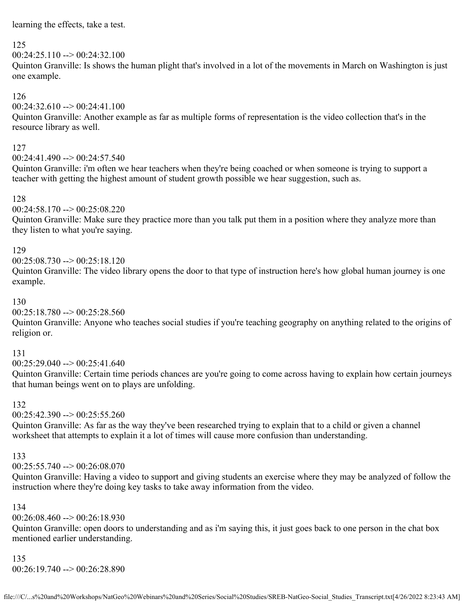learning the effects, take a test.

### 125

 $00:24:25.110 \rightarrow 00:24:32.100$ 

Quinton Granville: Is shows the human plight that's involved in a lot of the movements in March on Washington is just one example.

## 126

 $00:24:32.610 \rightarrow 00:24:41.100$ 

Quinton Granville: Another example as far as multiple forms of representation is the video collection that's in the resource library as well.

### 127

00:24:41.490 --> 00:24:57.540

Quinton Granville: i'm often we hear teachers when they're being coached or when someone is trying to support a teacher with getting the highest amount of student growth possible we hear suggestion, such as.

### 128

00:24:58.170 --> 00:25:08.220

Quinton Granville: Make sure they practice more than you talk put them in a position where they analyze more than they listen to what you're saying.

### 129

 $00:25:08.730 \rightarrow 00:25:18.120$ 

Quinton Granville: The video library opens the door to that type of instruction here's how global human journey is one example.

### 130

 $00:25:18.780 \rightarrow 00:25:28.560$ 

Quinton Granville: Anyone who teaches social studies if you're teaching geography on anything related to the origins of religion or.

### 131

 $00:25:29.040 \rightarrow 00:25:41.640$ 

Quinton Granville: Certain time periods chances are you're going to come across having to explain how certain journeys that human beings went on to plays are unfolding.

### 132

 $00:25:42.390 \rightarrow 00:25:55.260$ 

Quinton Granville: As far as the way they've been researched trying to explain that to a child or given a channel worksheet that attempts to explain it a lot of times will cause more confusion than understanding.

### 133

 $00:25:55.740 \rightarrow 00:26:08.070$ 

Quinton Granville: Having a video to support and giving students an exercise where they may be analyzed of follow the instruction where they're doing key tasks to take away information from the video.

### 134

00:26:08.460 --> 00:26:18.930

Quinton Granville: open doors to understanding and as i'm saying this, it just goes back to one person in the chat box mentioned earlier understanding.

#### 135 00:26:19.740 --> 00:26:28.890

file:///C/...s%20and%20Workshops/NatGeo%20Webinars%20and%20Series/Social%20Studies/SREB-NatGeo-Social\_Studies\_Transcript.txt[4/26/2022 8:23:43 AM]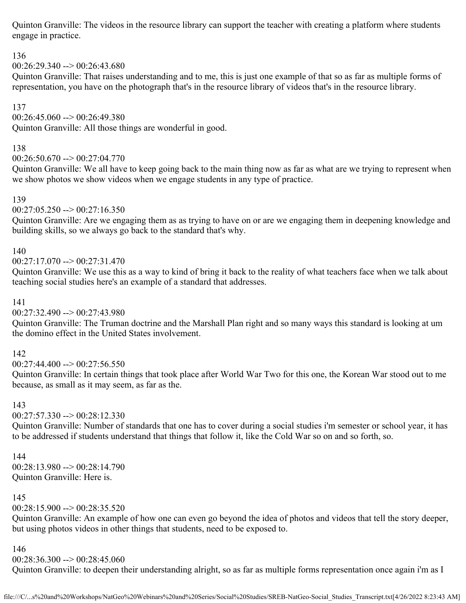Quinton Granville: The videos in the resource library can support the teacher with creating a platform where students engage in practice.

# 136

 $00:26:29.340 \rightarrow 00:26:43.680$ 

Quinton Granville: That raises understanding and to me, this is just one example of that so as far as multiple forms of representation, you have on the photograph that's in the resource library of videos that's in the resource library.

# 137

00:26:45.060 --> 00:26:49.380

Quinton Granville: All those things are wonderful in good.

## 138

 $00:26:50.670 \rightarrow 00:27:04.770$ 

Quinton Granville: We all have to keep going back to the main thing now as far as what are we trying to represent when we show photos we show videos when we engage students in any type of practice.

## 139

 $00:27:05.250 \rightarrow 00:27:16.350$ 

Quinton Granville: Are we engaging them as as trying to have on or are we engaging them in deepening knowledge and building skills, so we always go back to the standard that's why.

# 140

 $00:27:17.070 \rightarrow 00:27:31.470$ 

Quinton Granville: We use this as a way to kind of bring it back to the reality of what teachers face when we talk about teaching social studies here's an example of a standard that addresses.

## 141

00:27:32.490 --> 00:27:43.980

Quinton Granville: The Truman doctrine and the Marshall Plan right and so many ways this standard is looking at um the domino effect in the United States involvement.

## 142

00:27:44.400 --> 00:27:56.550

Quinton Granville: In certain things that took place after World War Two for this one, the Korean War stood out to me because, as small as it may seem, as far as the.

## 143

 $00:27:57.330 \rightarrow 00:28:12.330$ 

Quinton Granville: Number of standards that one has to cover during a social studies i'm semester or school year, it has to be addressed if students understand that things that follow it, like the Cold War so on and so forth, so.

## 144

00:28:13.980 --> 00:28:14.790 Quinton Granville: Here is.

# 145

 $00:28:15.900 \rightarrow 00:28:35.520$ 

Quinton Granville: An example of how one can even go beyond the idea of photos and videos that tell the story deeper, but using photos videos in other things that students, need to be exposed to.

## 146

00:28:36.300 --> 00:28:45.060

Quinton Granville: to deepen their understanding alright, so as far as multiple forms representation once again i'm as I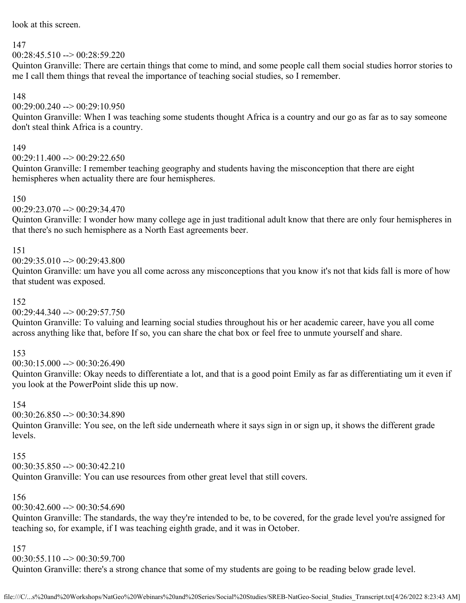look at this screen.

### 147

 $00:28:45.510 \rightarrow 00:28:59.220$ 

Quinton Granville: There are certain things that come to mind, and some people call them social studies horror stories to me I call them things that reveal the importance of teaching social studies, so I remember.

### 148

 $00:29:00.240 \rightarrow 00:29:10.950$ 

Quinton Granville: When I was teaching some students thought Africa is a country and our go as far as to say someone don't steal think Africa is a country.

### 149

00:29:11.400 --> 00:29:22.650

Quinton Granville: I remember teaching geography and students having the misconception that there are eight hemispheres when actuality there are four hemispheres.

### 150

 $00:29:23.070 \rightarrow 00:29:34.470$ 

Quinton Granville: I wonder how many college age in just traditional adult know that there are only four hemispheres in that there's no such hemisphere as a North East agreements beer.

## 151

 $00:29:35.010 \rightarrow 00:29:43.800$ 

Quinton Granville: um have you all come across any misconceptions that you know it's not that kids fall is more of how that student was exposed.

### 152

 $00:29:44.340 \rightarrow 00:29:57.750$ 

Quinton Granville: To valuing and learning social studies throughout his or her academic career, have you all come across anything like that, before If so, you can share the chat box or feel free to unmute yourself and share.

## 153

00:30:15.000 --> 00:30:26.490

Quinton Granville: Okay needs to differentiate a lot, and that is a good point Emily as far as differentiating um it even if you look at the PowerPoint slide this up now.

### 154

00:30:26.850 --> 00:30:34.890

Quinton Granville: You see, on the left side underneath where it says sign in or sign up, it shows the different grade levels.

### 155

 $00:30:35.850 \rightarrow 00:30:42.210$ 

Quinton Granville: You can use resources from other great level that still covers.

## 156

 $00:30:42.600 \rightarrow 00:30:54.690$ 

Quinton Granville: The standards, the way they're intended to be, to be covered, for the grade level you're assigned for teaching so, for example, if I was teaching eighth grade, and it was in October.

## 157

00:30:55.110 --> 00:30:59.700

Quinton Granville: there's a strong chance that some of my students are going to be reading below grade level.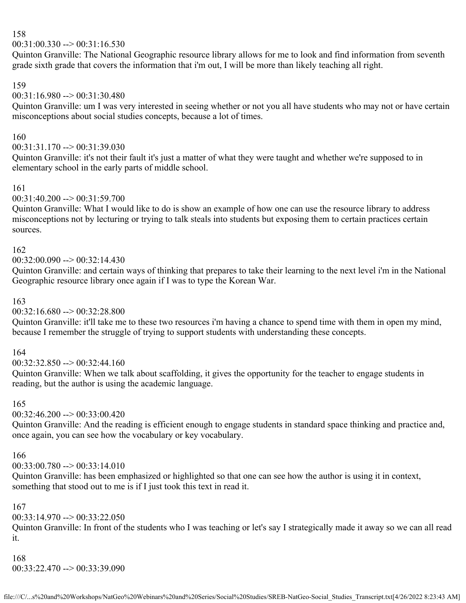00:31:00.330 --> 00:31:16.530

Quinton Granville: The National Geographic resource library allows for me to look and find information from seventh grade sixth grade that covers the information that i'm out, I will be more than likely teaching all right.

159

### 00:31:16.980 --> 00:31:30.480

Quinton Granville: um I was very interested in seeing whether or not you all have students who may not or have certain misconceptions about social studies concepts, because a lot of times.

### 160

### 00:31:31.170 --> 00:31:39.030

Quinton Granville: it's not their fault it's just a matter of what they were taught and whether we're supposed to in elementary school in the early parts of middle school.

### 161

 $00:31:40.200 \rightarrow 00:31:59.700$ 

Quinton Granville: What I would like to do is show an example of how one can use the resource library to address misconceptions not by lecturing or trying to talk steals into students but exposing them to certain practices certain sources.

### 162

### 00:32:00.090 --> 00:32:14.430

Quinton Granville: and certain ways of thinking that prepares to take their learning to the next level i'm in the National Geographic resource library once again if I was to type the Korean War.

### 163

### $00:32:16.680 \rightarrow 00:32:28.800$

Quinton Granville: it'll take me to these two resources i'm having a chance to spend time with them in open my mind, because I remember the struggle of trying to support students with understanding these concepts.

### 164

 $00:32:32.850 \rightarrow 00:32:44.160$ 

Quinton Granville: When we talk about scaffolding, it gives the opportunity for the teacher to engage students in reading, but the author is using the academic language.

### 165

### 00:32:46.200 --> 00:33:00.420

Quinton Granville: And the reading is efficient enough to engage students in standard space thinking and practice and, once again, you can see how the vocabulary or key vocabulary.

#### 166

 $00:33:00.780 \rightarrow 00:33:14.010$ 

Quinton Granville: has been emphasized or highlighted so that one can see how the author is using it in context, something that stood out to me is if I just took this text in read it.

### 167

 $00:33:14.970 \rightarrow 00:33:22.050$ 

Quinton Granville: In front of the students who I was teaching or let's say I strategically made it away so we can all read it.

### 168 00:33:22.470 --> 00:33:39.090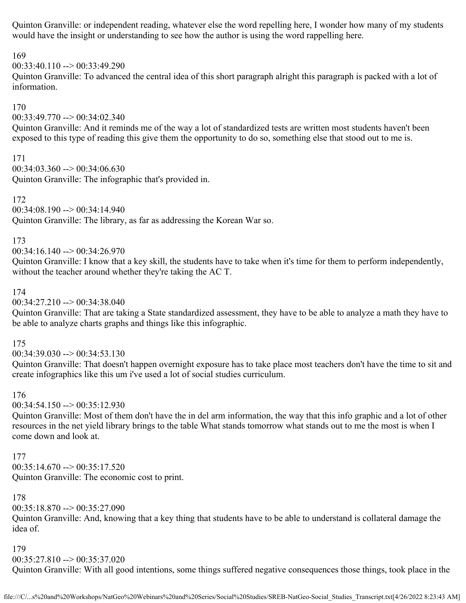Quinton Granville: or independent reading, whatever else the word repelling here, I wonder how many of my students would have the insight or understanding to see how the author is using the word rappelling here.

### 169

 $00:33:40.110 \rightarrow 00:33:49.290$ 

Quinton Granville: To advanced the central idea of this short paragraph alright this paragraph is packed with a lot of information.

### 170

00:33:49.770 --> 00:34:02.340

Quinton Granville: And it reminds me of the way a lot of standardized tests are written most students haven't been exposed to this type of reading this give them the opportunity to do so, something else that stood out to me is.

171

 $00:34:03.360 \rightarrow 00:34:06.630$ Quinton Granville: The infographic that's provided in.

172 00:34:08.190 --> 00:34:14.940

Quinton Granville: The library, as far as addressing the Korean War so.

### 173

00:34:16.140 --> 00:34:26.970

Quinton Granville: I know that a key skill, the students have to take when it's time for them to perform independently, without the teacher around whether they're taking the AC T.

### 174

 $00:34:27.210 \rightarrow 00:34:38.040$ 

Quinton Granville: That are taking a State standardized assessment, they have to be able to analyze a math they have to be able to analyze charts graphs and things like this infographic.

### 175

 $00:34:39.030 \rightarrow 00:34:53.130$ 

Quinton Granville: That doesn't happen overnight exposure has to take place most teachers don't have the time to sit and create infographics like this um i've used a lot of social studies curriculum.

### 176

00:34:54.150 --> 00:35:12.930

Quinton Granville: Most of them don't have the in del arm information, the way that this info graphic and a lot of other resources in the net yield library brings to the table What stands tomorrow what stands out to me the most is when I come down and look at.

### 177

 $00:35:14.670 \rightarrow 00:35:17.520$ Quinton Granville: The economic cost to print.

### 178

 $00:35:18.870 \rightarrow 00:35:27.090$ 

Quinton Granville: And, knowing that a key thing that students have to be able to understand is collateral damage the idea of.

#### 179

00:35:27.810 --> 00:35:37.020

Quinton Granville: With all good intentions, some things suffered negative consequences those things, took place in the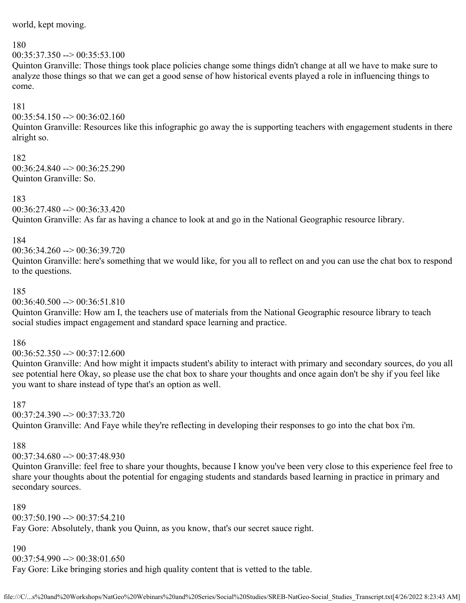world, kept moving.

#### 180

 $00:35:37.350 \rightarrow 00:35:53.100$ 

Quinton Granville: Those things took place policies change some things didn't change at all we have to make sure to analyze those things so that we can get a good sense of how historical events played a role in influencing things to come.

#### 181

 $00:35:54.150 \rightarrow 00:36:02.160$ 

Quinton Granville: Resources like this infographic go away the is supporting teachers with engagement students in there alright so.

#### 182

 $00:36:24.840 \rightarrow 00:36:25.290$ Quinton Granville: So.

### 183

 $00:36:27.480 \rightarrow 00:36:33.420$ Quinton Granville: As far as having a chance to look at and go in the National Geographic resource library.

#### 184

00:36:34.260 --> 00:36:39.720

Quinton Granville: here's something that we would like, for you all to reflect on and you can use the chat box to respond to the questions.

#### 185

00:36:40.500 --> 00:36:51.810

Quinton Granville: How am I, the teachers use of materials from the National Geographic resource library to teach social studies impact engagement and standard space learning and practice.

#### 186

 $00:36:52.350 \rightarrow 00:37:12.600$ 

Quinton Granville: And how might it impacts student's ability to interact with primary and secondary sources, do you all see potential here Okay, so please use the chat box to share your thoughts and once again don't be shy if you feel like you want to share instead of type that's an option as well.

#### 187

00:37:24.390 --> 00:37:33.720

Quinton Granville: And Faye while they're reflecting in developing their responses to go into the chat box i'm.

### 188

00:37:34.680 --> 00:37:48.930

Quinton Granville: feel free to share your thoughts, because I know you've been very close to this experience feel free to share your thoughts about the potential for engaging students and standards based learning in practice in primary and secondary sources.

#### 189

 $00:37:50.190 \rightarrow 00:37:54.210$ 

Fay Gore: Absolutely, thank you Quinn, as you know, that's our secret sauce right.

### 190

 $00:37:54.990 \rightarrow 00:38:01.650$ 

Fay Gore: Like bringing stories and high quality content that is vetted to the table.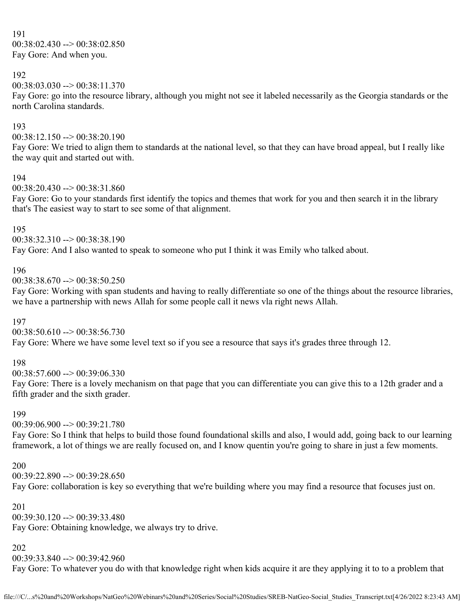191 00:38:02.430 --> 00:38:02.850 Fay Gore: And when you.

### 192

 $00:38:03.030 \rightarrow 00:38:11.370$ 

Fay Gore: go into the resource library, although you might not see it labeled necessarily as the Georgia standards or the north Carolina standards.

#### 193

 $00:38:12.150 \rightarrow 00:38:20.190$ 

Fay Gore: We tried to align them to standards at the national level, so that they can have broad appeal, but I really like the way quit and started out with.

#### 194

00:38:20.430 --> 00:38:31.860

Fay Gore: Go to your standards first identify the topics and themes that work for you and then search it in the library that's The easiest way to start to see some of that alignment.

#### 195

 $00:38:32.310 \rightarrow 00:38:38.190$ 

Fay Gore: And I also wanted to speak to someone who put I think it was Emily who talked about.

#### 196

00:38:38.670 --> 00:38:50.250

Fay Gore: Working with span students and having to really differentiate so one of the things about the resource libraries, we have a partnership with news Allah for some people call it news vla right news Allah.

### 197

00:38:50.610 --> 00:38:56.730 Fay Gore: Where we have some level text so if you see a resource that says it's grades three through 12.

### 198

00:38:57.600 --> 00:39:06.330

Fay Gore: There is a lovely mechanism on that page that you can differentiate you can give this to a 12th grader and a fifth grader and the sixth grader.

#### 199

 $00:39:06.900 \rightarrow 00:39:21.780$ 

Fay Gore: So I think that helps to build those found foundational skills and also, I would add, going back to our learning framework, a lot of things we are really focused on, and I know quentin you're going to share in just a few moments.

#### 200

00:39:22.890 --> 00:39:28.650 Fay Gore: collaboration is key so everything that we're building where you may find a resource that focuses just on.

#### 201

 $00:39:30.120 \rightarrow 00:39:33.480$ 

Fay Gore: Obtaining knowledge, we always try to drive.

### 202

00:39:33.840 --> 00:39:42.960

Fay Gore: To whatever you do with that knowledge right when kids acquire it are they applying it to to a problem that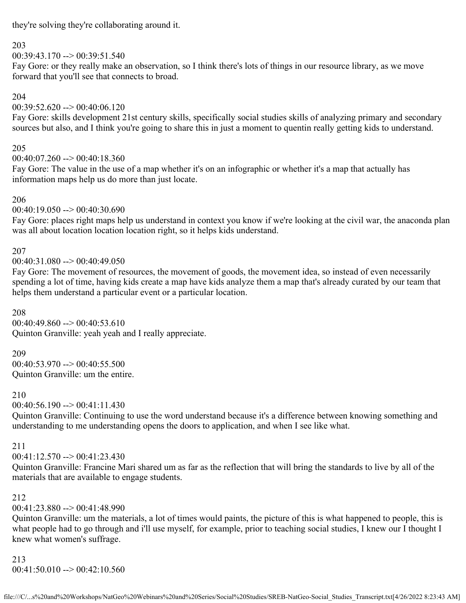they're solving they're collaborating around it.

### 203

 $00:39:43.170 \rightarrow 00:39:51.540$ 

Fay Gore: or they really make an observation, so I think there's lots of things in our resource library, as we move forward that you'll see that connects to broad.

### 204

 $00:39:52.620 \rightarrow 00:40:06.120$ 

Fay Gore: skills development 21st century skills, specifically social studies skills of analyzing primary and secondary sources but also, and I think you're going to share this in just a moment to quentin really getting kids to understand.

### 205

00:40:07.260 --> 00:40:18.360

Fay Gore: The value in the use of a map whether it's on an infographic or whether it's a map that actually has information maps help us do more than just locate.

### 206

00:40:19.050 --> 00:40:30.690

Fay Gore: places right maps help us understand in context you know if we're looking at the civil war, the anaconda plan was all about location location location right, so it helps kids understand.

### 207

 $00:40:31.080 \rightarrow 00:40:49.050$ 

Fay Gore: The movement of resources, the movement of goods, the movement idea, so instead of even necessarily spending a lot of time, having kids create a map have kids analyze them a map that's already curated by our team that helps them understand a particular event or a particular location.

208  $00:40:49.860 \rightarrow 00:40:53.610$ Quinton Granville: yeah yeah and I really appreciate.

209 00:40:53.970 --> 00:40:55.500 Quinton Granville: um the entire.

#### 210

 $00:40:56.190 \rightarrow 00:41:11.430$ 

Quinton Granville: Continuing to use the word understand because it's a difference between knowing something and understanding to me understanding opens the doors to application, and when I see like what.

### 211

 $00:41:12.570 \rightarrow 00:41:23.430$ 

Quinton Granville: Francine Mari shared um as far as the reflection that will bring the standards to live by all of the materials that are available to engage students.

### 212

 $00:41:23.880 \rightarrow 00:41:48.990$ 

Quinton Granville: um the materials, a lot of times would paints, the picture of this is what happened to people, this is what people had to go through and i'll use myself, for example, prior to teaching social studies, I knew our I thought I knew what women's suffrage.

213  $00:41:50.010 \rightarrow 00:42:10.560$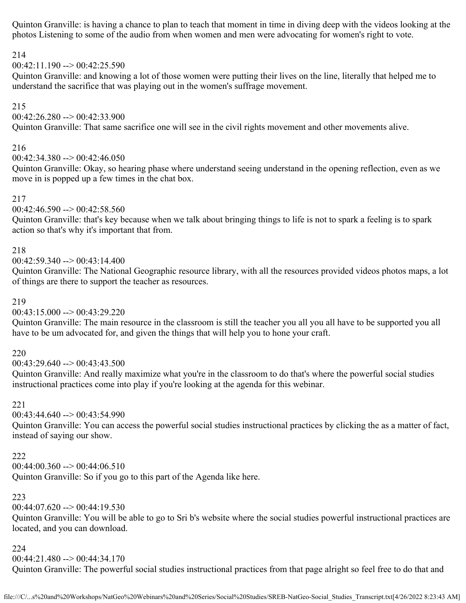Quinton Granville: is having a chance to plan to teach that moment in time in diving deep with the videos looking at the photos Listening to some of the audio from when women and men were advocating for women's right to vote.

### 214

 $00:42:11.190 \rightarrow 00:42:25.590$ 

Quinton Granville: and knowing a lot of those women were putting their lives on the line, literally that helped me to understand the sacrifice that was playing out in the women's suffrage movement.

### 215

 $00:42:26.280 \rightarrow 00:42:33.900$ 

Quinton Granville: That same sacrifice one will see in the civil rights movement and other movements alive.

### 216

00:42:34.380 --> 00:42:46.050

Quinton Granville: Okay, so hearing phase where understand seeing understand in the opening reflection, even as we move in is popped up a few times in the chat box.

### 217

 $00:42:46.590 \rightarrow 00:42:58.560$ 

Quinton Granville: that's key because when we talk about bringing things to life is not to spark a feeling is to spark action so that's why it's important that from.

### 218

 $00:42:59.340 \rightarrow 00:43:14.400$ 

Quinton Granville: The National Geographic resource library, with all the resources provided videos photos maps, a lot of things are there to support the teacher as resources.

### 219

 $00:43:15.000 \rightarrow 00:43:29.220$ 

Quinton Granville: The main resource in the classroom is still the teacher you all you all have to be supported you all have to be um advocated for, and given the things that will help you to hone your craft.

## 220

00:43:29.640 --> 00:43:43.500

Quinton Granville: And really maximize what you're in the classroom to do that's where the powerful social studies instructional practices come into play if you're looking at the agenda for this webinar.

## 221

00:43:44.640 --> 00:43:54.990

Quinton Granville: You can access the powerful social studies instructional practices by clicking the as a matter of fact, instead of saying our show.

## 222

 $00:44:00.360 \rightarrow 00:44:06.510$ 

Quinton Granville: So if you go to this part of the Agenda like here.

## 223

 $00:44:07.620 \rightarrow 00:44:19.530$ 

Quinton Granville: You will be able to go to Sri b's website where the social studies powerful instructional practices are located, and you can download.

## 224

00:44:21.480 --> 00:44:34.170

Quinton Granville: The powerful social studies instructional practices from that page alright so feel free to do that and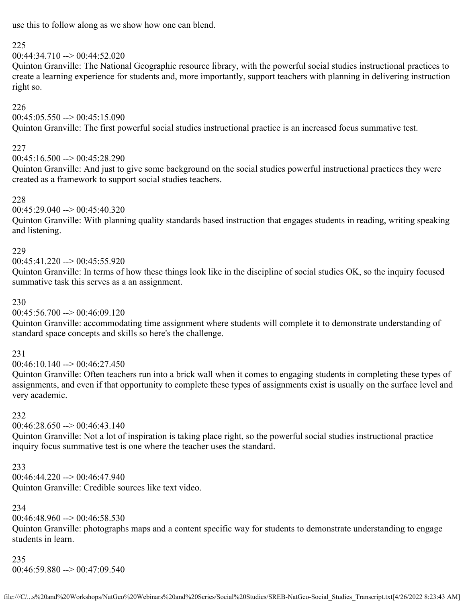use this to follow along as we show how one can blend.

### 225

### $00:44:34.710 \rightarrow 00:44:52.020$

Quinton Granville: The National Geographic resource library, with the powerful social studies instructional practices to create a learning experience for students and, more importantly, support teachers with planning in delivering instruction right so.

### 226

 $00:45:05.550 \rightarrow 00:45:15.090$ 

Quinton Granville: The first powerful social studies instructional practice is an increased focus summative test.

## 227

 $00:45:16.500 \rightarrow 00:45:28.290$ 

Quinton Granville: And just to give some background on the social studies powerful instructional practices they were created as a framework to support social studies teachers.

## 228

00:45:29.040 --> 00:45:40.320

Quinton Granville: With planning quality standards based instruction that engages students in reading, writing speaking and listening.

## 229

 $00:45:41.220 \rightarrow 00:45:55.920$ 

Quinton Granville: In terms of how these things look like in the discipline of social studies OK, so the inquiry focused summative task this serves as a an assignment.

### 230

 $00:45:56.700 \rightarrow 00:46:09.120$ 

Quinton Granville: accommodating time assignment where students will complete it to demonstrate understanding of standard space concepts and skills so here's the challenge.

### 231

00:46:10.140 --> 00:46:27.450

Quinton Granville: Often teachers run into a brick wall when it comes to engaging students in completing these types of assignments, and even if that opportunity to complete these types of assignments exist is usually on the surface level and very academic.

# 232

 $00:46:28.650 \rightarrow 00:46:43.140$ 

Quinton Granville: Not a lot of inspiration is taking place right, so the powerful social studies instructional practice inquiry focus summative test is one where the teacher uses the standard.

233 00:46:44.220 --> 00:46:47.940 Quinton Granville: Credible sources like text video.

## 234

 $00:46:48.960 \rightarrow 00:46:58.530$ 

Quinton Granville: photographs maps and a content specific way for students to demonstrate understanding to engage students in learn.

### 235

00:46:59.880 --> 00:47:09.540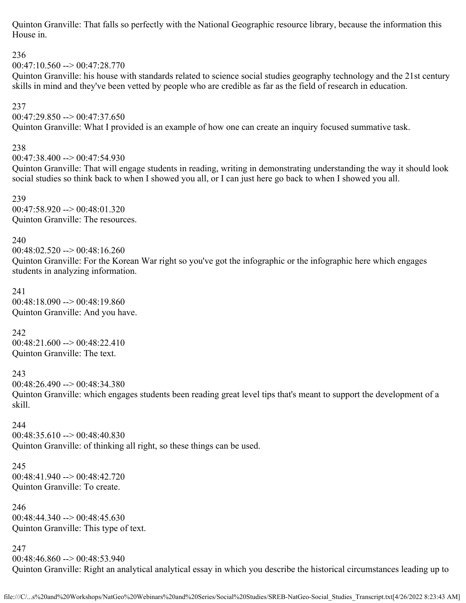Quinton Granville: That falls so perfectly with the National Geographic resource library, because the information this House in.

236

 $00:47:10.560 \rightarrow 00:47:28.770$ 

Quinton Granville: his house with standards related to science social studies geography technology and the 21st century skills in mind and they've been vetted by people who are credible as far as the field of research in education.

## 237

 $00:47:29.850 \rightarrow 00:47:37.650$ 

Quinton Granville: What I provided is an example of how one can create an inquiry focused summative task.

# 238

00:47:38.400 --> 00:47:54.930 Quinton Granville: That will engage students in reading, writing in demonstrating understanding the way it should look social studies so think back to when I showed you all, or I can just here go back to when I showed you all.

239 00:47:58.920 --> 00:48:01.320 Quinton Granville: The resources.

240

00:48:02.520 --> 00:48:16.260 Quinton Granville: For the Korean War right so you've got the infographic or the infographic here which engages students in analyzing information.

241 00:48:18.090 --> 00:48:19.860 Quinton Granville: And you have.

242

00:48:21.600 --> 00:48:22.410 Quinton Granville: The text.

243

 $00:48:26.490 \rightarrow 00:48:34.380$ Quinton Granville: which engages students been reading great level tips that's meant to support the development of a skill.

244

00:48:35.610 --> 00:48:40.830 Quinton Granville: of thinking all right, so these things can be used.

245 00:48:41.940 --> 00:48:42.720 Quinton Granville: To create.

246 00:48:44.340 --> 00:48:45.630 Quinton Granville: This type of text.

247

00:48:46.860 --> 00:48:53.940 Quinton Granville: Right an analytical analytical essay in which you describe the historical circumstances leading up to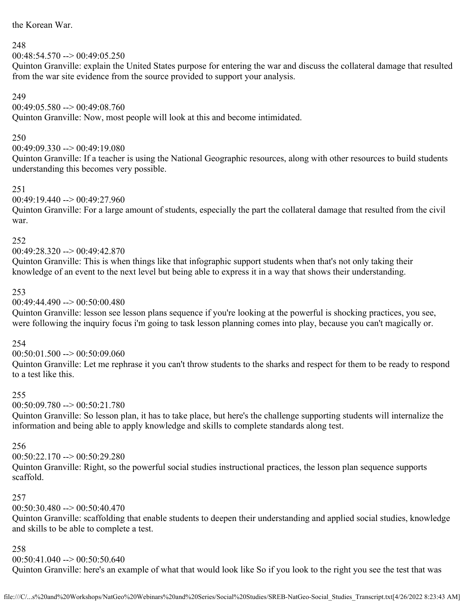the Korean War.

### 248

 $00:48:54.570 \rightarrow 00:49:05.250$ 

Quinton Granville: explain the United States purpose for entering the war and discuss the collateral damage that resulted from the war site evidence from the source provided to support your analysis.

## 249

00:49:05.580 --> 00:49:08.760

Quinton Granville: Now, most people will look at this and become intimidated.

## 250

 $00:49:09.330 \rightarrow 00:49:19.080$ 

Quinton Granville: If a teacher is using the National Geographic resources, along with other resources to build students understanding this becomes very possible.

### 251

 $00:49:19.440 \rightarrow 00:49:27.960$ 

Quinton Granville: For a large amount of students, especially the part the collateral damage that resulted from the civil war.

### 252

00:49:28.320 --> 00:49:42.870

Quinton Granville: This is when things like that infographic support students when that's not only taking their knowledge of an event to the next level but being able to express it in a way that shows their understanding.

### 253

 $00:49:44.490 \rightarrow 00:50:00.480$ 

Quinton Granville: lesson see lesson plans sequence if you're looking at the powerful is shocking practices, you see, were following the inquiry focus i'm going to task lesson planning comes into play, because you can't magically or.

## 254

00:50:01.500 --> 00:50:09.060

Quinton Granville: Let me rephrase it you can't throw students to the sharks and respect for them to be ready to respond to a test like this.

## 255

00:50:09.780 --> 00:50:21.780

Quinton Granville: So lesson plan, it has to take place, but here's the challenge supporting students will internalize the information and being able to apply knowledge and skills to complete standards along test.

## 256

 $00:50:22.170 \rightarrow 00:50:29.280$ 

Quinton Granville: Right, so the powerful social studies instructional practices, the lesson plan sequence supports scaffold.

### 257

 $00:50:30.480 \rightarrow 00:50:40.470$ 

Quinton Granville: scaffolding that enable students to deepen their understanding and applied social studies, knowledge and skills to be able to complete a test.

### 258

00:50:41.040 --> 00:50:50.640

Quinton Granville: here's an example of what that would look like So if you look to the right you see the test that was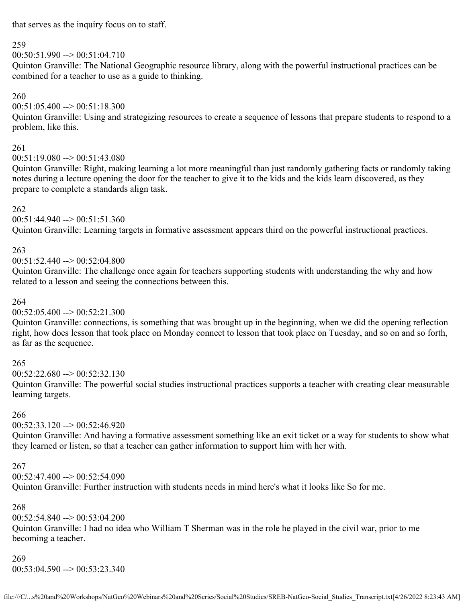that serves as the inquiry focus on to staff.

### 259

 $00:50:51.990 \rightarrow 00:51:04.710$ 

Quinton Granville: The National Geographic resource library, along with the powerful instructional practices can be combined for a teacher to use as a guide to thinking.

### 260

00:51:05.400 --> 00:51:18.300

Quinton Granville: Using and strategizing resources to create a sequence of lessons that prepare students to respond to a problem, like this.

### 261

 $00:51:19.080 \rightarrow 00:51:43.080$ 

Quinton Granville: Right, making learning a lot more meaningful than just randomly gathering facts or randomly taking notes during a lecture opening the door for the teacher to give it to the kids and the kids learn discovered, as they prepare to complete a standards align task.

### 262

 $00:51:44.940 \rightarrow 00:51:51.360$ 

Quinton Granville: Learning targets in formative assessment appears third on the powerful instructional practices.

## 263

 $00:51:52.440 \rightarrow 00:52:04.800$ 

Quinton Granville: The challenge once again for teachers supporting students with understanding the why and how related to a lesson and seeing the connections between this.

### 264

 $00:52:05.400 \rightarrow 00:52:21.300$ 

Quinton Granville: connections, is something that was brought up in the beginning, when we did the opening reflection right, how does lesson that took place on Monday connect to lesson that took place on Tuesday, and so on and so forth, as far as the sequence.

## 265

 $00:52:22.680 \rightarrow 00:52:32.130$ 

Quinton Granville: The powerful social studies instructional practices supports a teacher with creating clear measurable learning targets.

## 266

 $00:52:33.120 \rightarrow 00:52:46.920$ 

Quinton Granville: And having a formative assessment something like an exit ticket or a way for students to show what they learned or listen, so that a teacher can gather information to support him with her with.

### 267

00:52:47.400 --> 00:52:54.090

Quinton Granville: Further instruction with students needs in mind here's what it looks like So for me.

## 268

00:52:54.840 --> 00:53:04.200

Quinton Granville: I had no idea who William T Sherman was in the role he played in the civil war, prior to me becoming a teacher.

## 269

00:53:04.590 --> 00:53:23.340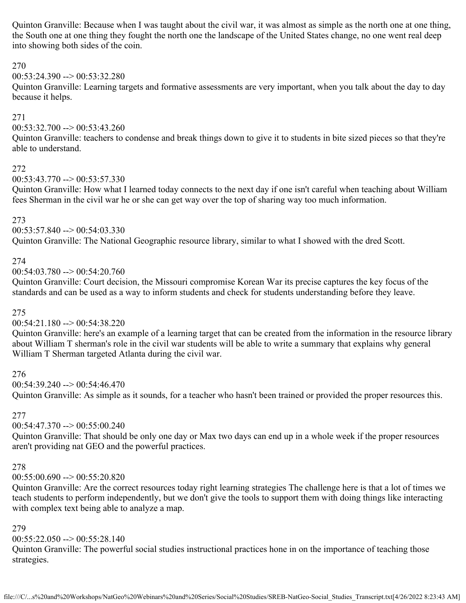Quinton Granville: Because when I was taught about the civil war, it was almost as simple as the north one at one thing, the South one at one thing they fought the north one the landscape of the United States change, no one went real deep into showing both sides of the coin.

#### 270

#### $00:53:24.390 \rightarrow 00:53:32.280$

Quinton Granville: Learning targets and formative assessments are very important, when you talk about the day to day because it helps.

#### 271

 $00:53:32.700 \rightarrow 00:53:43.260$ 

Quinton Granville: teachers to condense and break things down to give it to students in bite sized pieces so that they're able to understand.

#### 272

 $00:53:43.770 \rightarrow 00:53:57.330$ 

Quinton Granville: How what I learned today connects to the next day if one isn't careful when teaching about William fees Sherman in the civil war he or she can get way over the top of sharing way too much information.

#### 273

 $00:53:57.840 \rightarrow 00:54:03.330$ 

Quinton Granville: The National Geographic resource library, similar to what I showed with the dred Scott.

#### 274

 $00:54:03.780 \rightarrow 00:54:20.760$ 

Quinton Granville: Court decision, the Missouri compromise Korean War its precise captures the key focus of the standards and can be used as a way to inform students and check for students understanding before they leave.

#### 275

 $00:54:21.180 \rightarrow 00:54:38.220$ 

Quinton Granville: here's an example of a learning target that can be created from the information in the resource library about William T sherman's role in the civil war students will be able to write a summary that explains why general William T Sherman targeted Atlanta during the civil war.

### 276

00:54:39.240 --> 00:54:46.470

Quinton Granville: As simple as it sounds, for a teacher who hasn't been trained or provided the proper resources this.

#### 277

 $00:54:47.370 \rightarrow 00:55:00.240$ 

Quinton Granville: That should be only one day or Max two days can end up in a whole week if the proper resources aren't providing nat GEO and the powerful practices.

#### 278

 $00:55:00.690 \rightarrow 00:55:20.820$ 

Quinton Granville: Are the correct resources today right learning strategies The challenge here is that a lot of times we teach students to perform independently, but we don't give the tools to support them with doing things like interacting with complex text being able to analyze a map.

### 279

 $00:55:22.050 \rightarrow 00:55:28.140$ 

Quinton Granville: The powerful social studies instructional practices hone in on the importance of teaching those strategies.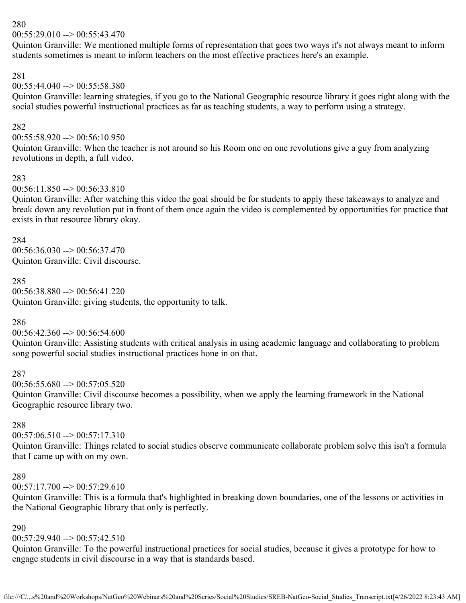$00:55:29.010 \rightarrow 00:55:43.470$ 

Quinton Granville: We mentioned multiple forms of representation that goes two ways it's not always meant to inform students sometimes is meant to inform teachers on the most effective practices here's an example.

### 281

### 00:55:44.040 --> 00:55:58.380

Quinton Granville: learning strategies, if you go to the National Geographic resource library it goes right along with the social studies powerful instructional practices as far as teaching students, a way to perform using a strategy.

### 282

 $00:55:58.920 \rightarrow 00:56:10.950$ 

Quinton Granville: When the teacher is not around so his Room one on one revolutions give a guy from analyzing revolutions in depth, a full video.

### 283

#### $00:56:11.850 \rightarrow 00:56:33.810$

Quinton Granville: After watching this video the goal should be for students to apply these takeaways to analyze and break down any revolution put in front of them once again the video is complemented by opportunities for practice that exists in that resource library okay.

#### 284

 $00:56:36.030 \rightarrow 00:56:37.470$ Quinton Granville: Civil discourse.

### 285

 $00:56:38.880 \rightarrow 00:56:41.220$ Quinton Granville: giving students, the opportunity to talk.

### 286

00:56:42.360 --> 00:56:54.600

Quinton Granville: Assisting students with critical analysis in using academic language and collaborating to problem song powerful social studies instructional practices hone in on that.

### 287

 $00:56:55.680 \rightarrow 00:57:05.520$ 

Quinton Granville: Civil discourse becomes a possibility, when we apply the learning framework in the National Geographic resource library two.

### 288

 $00:57:06.510 \rightarrow 00:57:17.310$ 

Quinton Granville: Things related to social studies observe communicate collaborate problem solve this isn't a formula that I came up with on my own.

### 289

 $00:57:17.700 \rightarrow 00:57:29.610$ 

Quinton Granville: This is a formula that's highlighted in breaking down boundaries, one of the lessons or activities in the National Geographic library that only is perfectly.

### 290

### $00:57:29.940 \rightarrow 00:57:42.510$

Quinton Granville: To the powerful instructional practices for social studies, because it gives a prototype for how to engage students in civil discourse in a way that is standards based.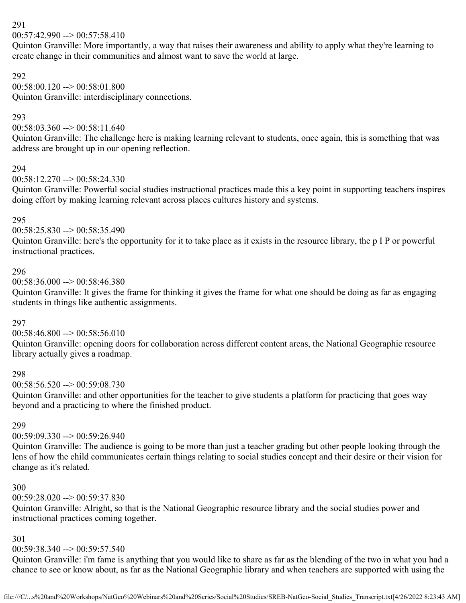$00:57:42.990 \rightarrow 00:57:58.410$ 

Quinton Granville: More importantly, a way that raises their awareness and ability to apply what they're learning to create change in their communities and almost want to save the world at large.

#### 292

00:58:00.120 --> 00:58:01.800 Quinton Granville: interdisciplinary connections.

### 293

 $00:58:03.360 \rightarrow 00:58:11.640$ 

Quinton Granville: The challenge here is making learning relevant to students, once again, this is something that was address are brought up in our opening reflection.

### 294

 $00:58:12.270 \rightarrow 00:58:24.330$ 

Quinton Granville: Powerful social studies instructional practices made this a key point in supporting teachers inspires doing effort by making learning relevant across places cultures history and systems.

### 295

00:58:25.830 --> 00:58:35.490

Quinton Granville: here's the opportunity for it to take place as it exists in the resource library, the p I P or powerful instructional practices.

### 296

 $00:58:36.000 \rightarrow 00:58:46.380$ 

Quinton Granville: It gives the frame for thinking it gives the frame for what one should be doing as far as engaging students in things like authentic assignments.

## 297

 $00:58:46.800 \rightarrow 00:58:56.010$ 

Quinton Granville: opening doors for collaboration across different content areas, the National Geographic resource library actually gives a roadmap.

### 298

 $00:58:56.520 \rightarrow 00:59:08.730$ 

Quinton Granville: and other opportunities for the teacher to give students a platform for practicing that goes way beyond and a practicing to where the finished product.

### 299

## 00:59:09.330 --> 00:59:26.940

Quinton Granville: The audience is going to be more than just a teacher grading but other people looking through the lens of how the child communicates certain things relating to social studies concept and their desire or their vision for change as it's related.

### 300

00:59:28.020 --> 00:59:37.830

Quinton Granville: Alright, so that is the National Geographic resource library and the social studies power and instructional practices coming together.

### 301

## $00:59:38.340 \rightarrow 00:59:57.540$

Quinton Granville: i'm fame is anything that you would like to share as far as the blending of the two in what you had a chance to see or know about, as far as the National Geographic library and when teachers are supported with using the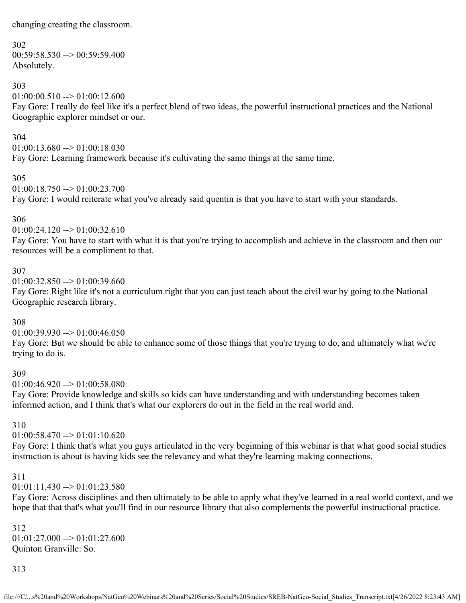changing creating the classroom.

#### 302

 $00:59:58.530 \rightarrow 00:59:59.400$ Absolutely.

### 303

 $01:00:00.510 \rightarrow 01:00:12.600$ 

Fay Gore: I really do feel like it's a perfect blend of two ideas, the powerful instructional practices and the National Geographic explorer mindset or our.

#### 304

 $01:00:13.680 \rightarrow 01:00:18.030$ Fay Gore: Learning framework because it's cultivating the same things at the same time.

305

 $01:00:18.750 \rightarrow 01:00:23.700$ Fay Gore: I would reiterate what you've already said quentin is that you have to start with your standards.

### 306

 $01:00:24.120 \rightarrow 01:00:32.610$ 

Fay Gore: You have to start with what it is that you're trying to accomplish and achieve in the classroom and then our resources will be a compliment to that.

### 307

 $01:00:32.850 \rightarrow 01:00:39.660$ 

Fay Gore: Right like it's not a curriculum right that you can just teach about the civil war by going to the National Geographic research library.

### 308

 $01:00:39.930 \rightarrow 01:00:46.050$ 

Fay Gore: But we should be able to enhance some of those things that you're trying to do, and ultimately what we're trying to do is.

### 309

 $01:00:46.920 \rightarrow 01:00:58.080$ 

Fay Gore: Provide knowledge and skills so kids can have understanding and with understanding becomes taken informed action, and I think that's what our explorers do out in the field in the real world and.

### 310

## $01:00:58.470 \rightarrow 01:01:10.620$

Fay Gore: I think that's what you guys articulated in the very beginning of this webinar is that what good social studies instruction is about is having kids see the relevancy and what they're learning making connections.

### 311

 $01:01:11.430 \rightarrow 01:01:23.580$ 

Fay Gore: Across disciplines and then ultimately to be able to apply what they've learned in a real world context, and we hope that that that's what you'll find in our resource library that also complements the powerful instructional practice.

312  $01:01:27.000 \rightarrow 01:01:27.600$ Quinton Granville: So.

313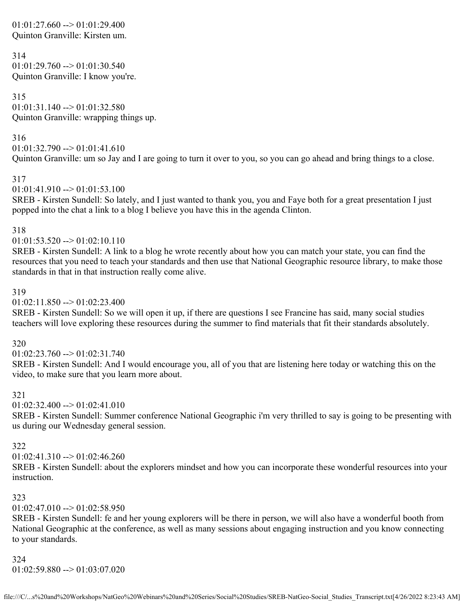$01:01:27.660 \rightarrow 01:01:29.400$ Quinton Granville: Kirsten um.

```
314
01:01:29.760 \rightarrow 01:01:30.540Quinton Granville: I know you're.
```
315  $01:01:31.140 \rightarrow 01:01:32.580$ Quinton Granville: wrapping things up.

316  $01:01:32.790 \rightarrow 01:01:41.610$ Quinton Granville: um so Jay and I are going to turn it over to you, so you can go ahead and bring things to a close.

317

 $01:01:41.910 \rightarrow 01:01:53.100$ 

SREB - Kirsten Sundell: So lately, and I just wanted to thank you, you and Faye both for a great presentation I just popped into the chat a link to a blog I believe you have this in the agenda Clinton.

318

 $01:01:53.520 \rightarrow 01:02:10.110$ 

SREB - Kirsten Sundell: A link to a blog he wrote recently about how you can match your state, you can find the resources that you need to teach your standards and then use that National Geographic resource library, to make those standards in that in that instruction really come alive.

### 319

 $01:02:11.850 \rightarrow 01:02:23.400$ 

SREB - Kirsten Sundell: So we will open it up, if there are questions I see Francine has said, many social studies teachers will love exploring these resources during the summer to find materials that fit their standards absolutely.

320

 $01:02:23.760 \rightarrow 01:02:31.740$ 

SREB - Kirsten Sundell: And I would encourage you, all of you that are listening here today or watching this on the video, to make sure that you learn more about.

321

01:02:32.400 --> 01:02:41.010

SREB - Kirsten Sundell: Summer conference National Geographic i'm very thrilled to say is going to be presenting with us during our Wednesday general session.

322

 $01:02:41.310 \rightarrow 01:02:46.260$ 

SREB - Kirsten Sundell: about the explorers mindset and how you can incorporate these wonderful resources into your instruction.

### 323

 $01:02:47.010 \rightarrow 01:02:58.950$ 

SREB - Kirsten Sundell: fe and her young explorers will be there in person, we will also have a wonderful booth from National Geographic at the conference, as well as many sessions about engaging instruction and you know connecting to your standards.

324  $01:02:59.880 \rightarrow 01:03:07.020$